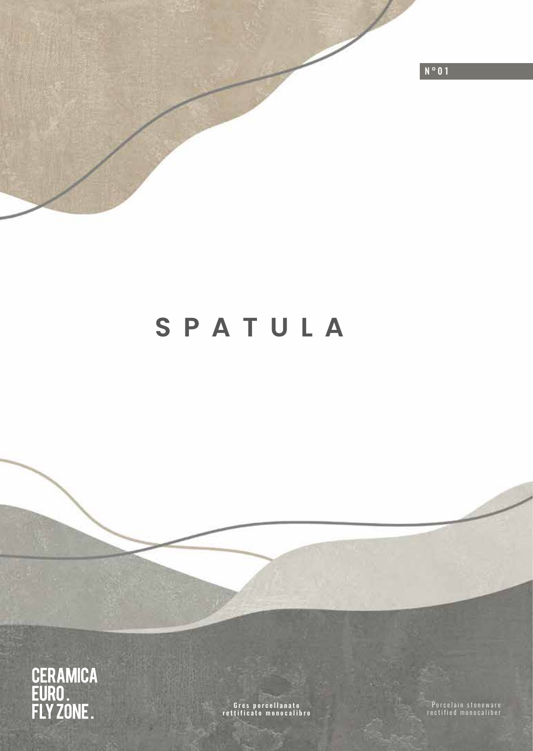

# **SPATULA**



G r e s p o r c e l l a n a t o rettificato monocalibro

Porcelain stoneware rectified monocaliber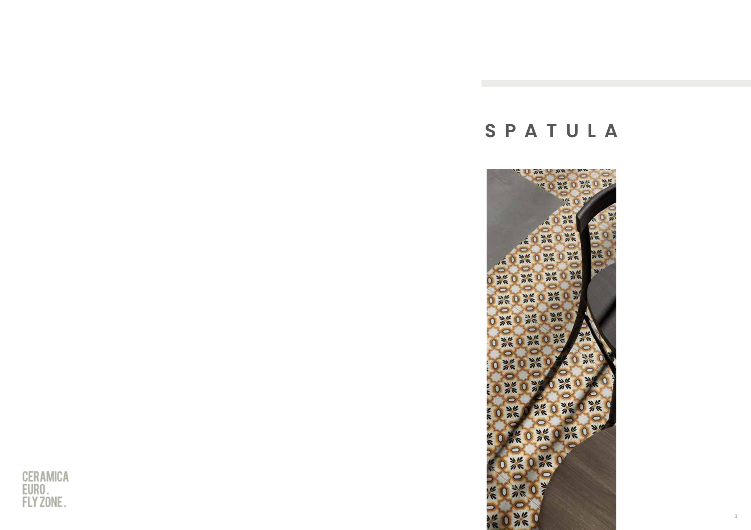# **SPATULA**



3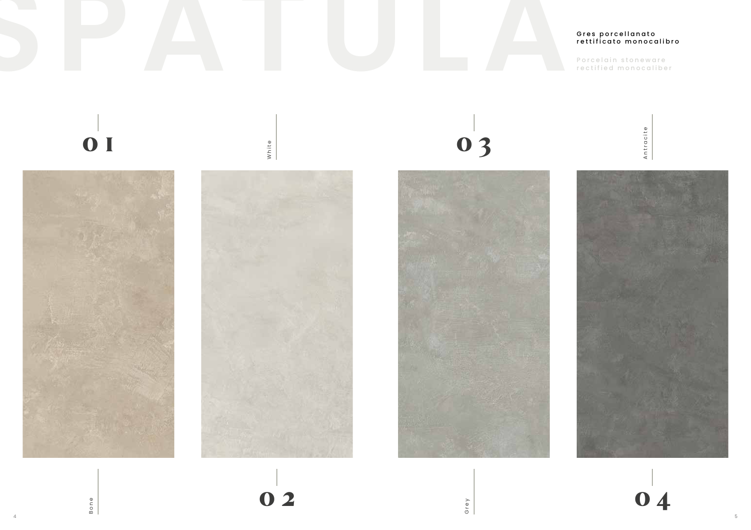

4 5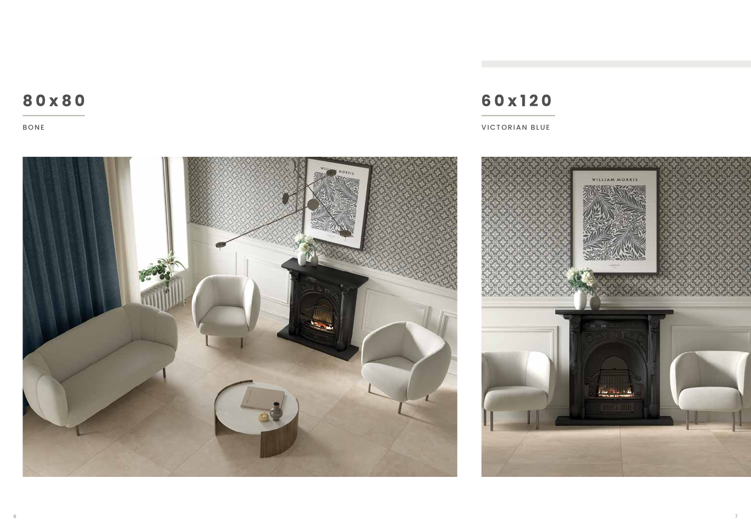### **80x80**

BONE

## **60x120**

VICTORIAN BLUE

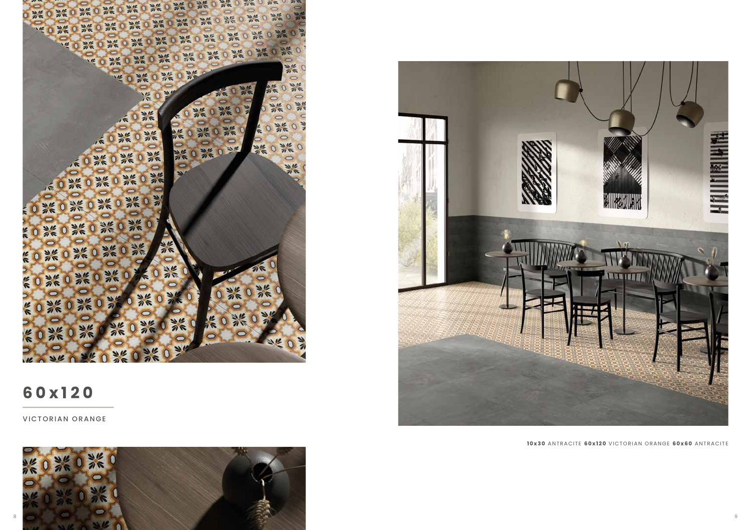

### **60x120**

VICTORIAN ORANGE





**10x30** ANTRACITE **60x120** VICTORIAN ORANGE **60x60** ANTRACITE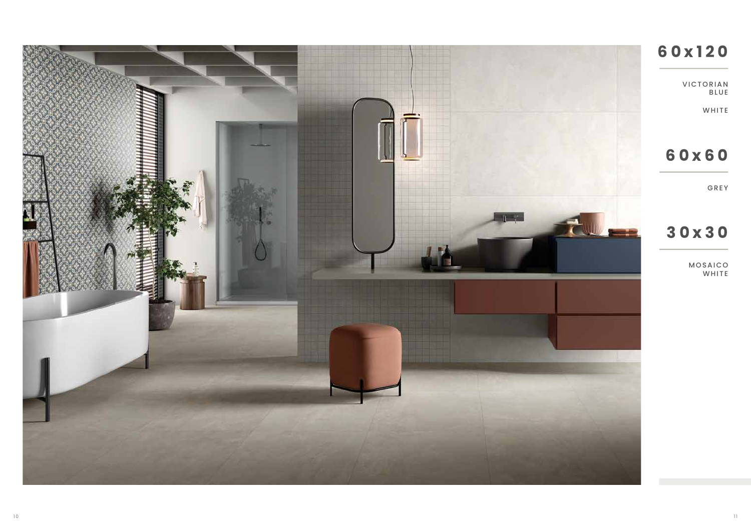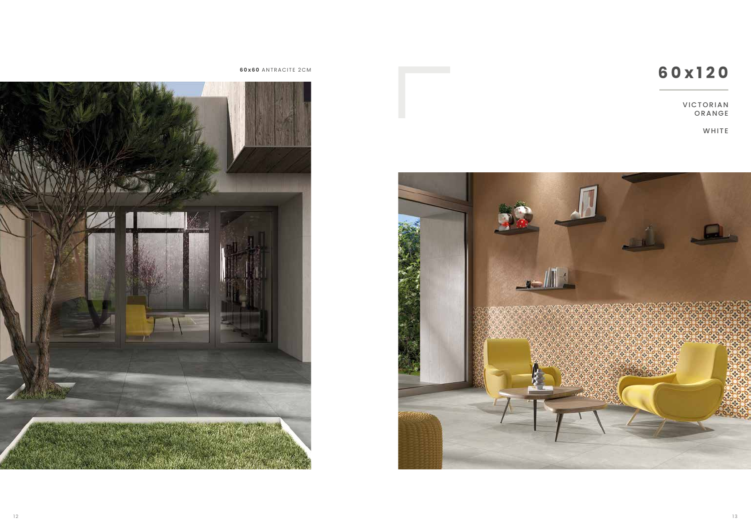## **60x60** ANTRACITE 2CM **60x60** ANTRACITE 2CM

VICTORIAN ORANGE

WHITE



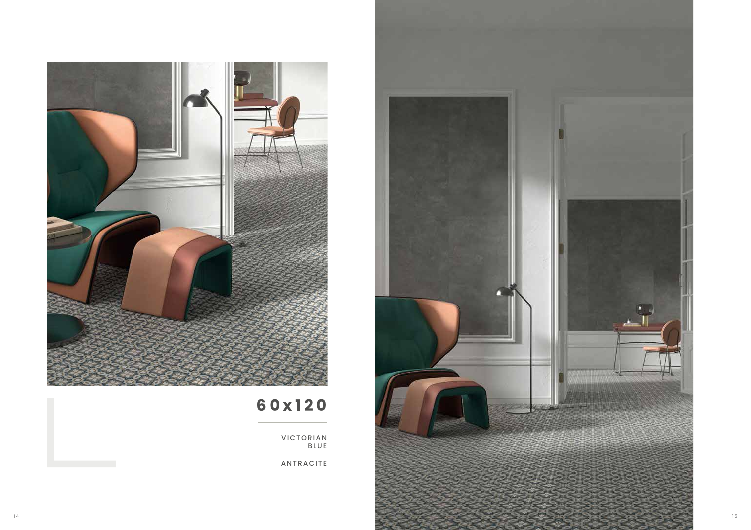

## **60x120**

VICTORIAN BLUE

ANTRACITE

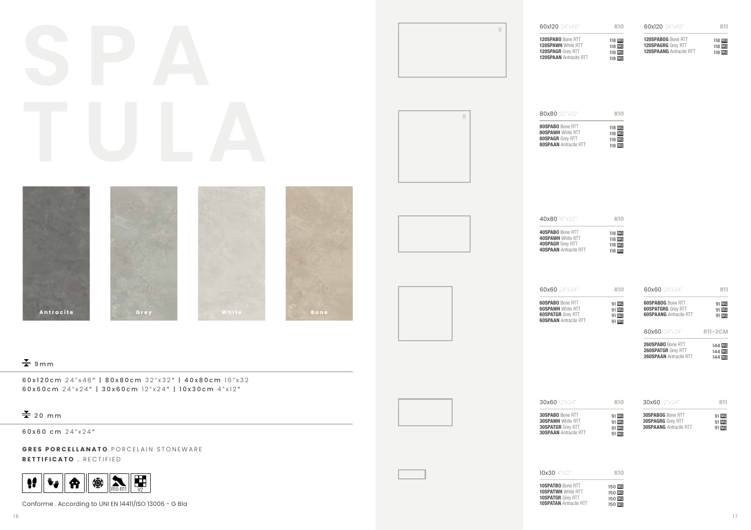| R11<br>60x120 24"x48"<br>60x120 24"x48"<br><b>R10</b><br>8<br>120SPABO Bone RTT<br>120SPABOG Bone RTT<br>118 <mark>MQ</mark><br>118 <u>MQ</u><br>118 MQ<br>118 MQ<br>120SPAWH White RTT<br>120SPAGRG Grey RTT<br>118 MQ<br>120SPAANG Antracite RTT<br>120SPAGR Grey RTT<br>118 MO<br><b>120SPAAN</b> Antracite RTT<br>118 MQ<br>80x80 32"x32"<br><b>R10</b><br>8<br>80SPABO Bone RTT<br>118 <mark>MQ</mark><br>118 <mark>MQ</mark><br>118 <u>MQ</u><br>118 MQ<br><b>80SPAWH White RTT</b><br><b>80SPAGR</b> Grey RTT<br><b>80SPAAN</b> Antracite RTT<br>40x80 16"x32"<br><b>R10</b><br>40SPABO Bone RTT<br>118 <mark>MQ</mark><br>118 MQ<br><b>40SPAWH White RTT</b><br><b>40SPAGR</b> Grey RTT<br>118 MQ<br>118 MQ<br><b>40SPAAN Antracite RTT</b><br>60x60 24"x24"<br>60x60 24"x24"<br><b>R11</b><br><b>R10</b><br><b>60SPABO</b> Bone RTT<br><b>60SPABOG</b> Bone RTT<br>91 <mark>MQ</mark><br>91 <mark>MQ</mark><br>91 MQ<br>91 MQ<br><b>60SPAWH White RTT</b><br><b>60SPATGRG</b> Grey RTT<br>91 MQ<br>Antracite<br>White<br>Grey<br><b>Bone</b><br><b>60SPATGR</b> Grey RTT<br><b>60SPAANG</b> Antracite RTT<br>91 MQ<br><b>60SPAAN</b> Antracite RTT<br>91 MQ<br>60x60 24"x24"<br><b>R11-2CM</b><br>260SPABO Bone RTT<br>144 <mark>MQ</mark><br>144 MQ<br>260SPATGR Grey RTT<br>260SPAAN Antracite RTT<br>144 MQ<br>$\frac{1}{2}$ 9 m m<br>60x120cm 24"x48"   80x80cm 32"x32"   40x80cm 16"x32<br>60x60cm 24"x24"   30x60cm 12"x24"   10x30cm 4"x12"<br>30x60 12"x24"<br>30x60 12"x24"<br><b>R11</b><br><b>R10</b><br>$\frac{V}{\sqrt{2}}$ 20 mm<br><b>30SPABO Bone RTT</b><br>30SPABOG Bone RTT<br>91 <mark>MQ</mark><br>91 <mark>MQ</mark><br>91 MQ<br>91 MQ<br><b>30SPAWH White RTT</b><br><b>30SPAGRG</b> Grey RTT<br>91 MQ<br><b>30SPATGR</b> Grey RTT<br><b>30SPAANG</b> Antracite RTT<br>91 MQ<br>60x60 cm 24"x24"<br><b>30SPAAN</b> Antracite RTT<br>91 MQ<br>GRES PORCELLANATO.PORCELAIN STONEWARE<br>RETTIFICATO . RECTIFIED<br>10x30 4"x12"<br><b>R10</b><br>R10-R11 V2<br>辮<br>$\bullet$<br>8<br>$\mathbf{w}_{\mathbf{w}}$<br>10SPATBO Bone RTT<br>150 MO<br><b>10SPATWH White RTT</b><br>150 MO<br><b>10SPATGR</b> Grey RTT |                                                       |                               |                                            |  |
|-------------------------------------------------------------------------------------------------------------------------------------------------------------------------------------------------------------------------------------------------------------------------------------------------------------------------------------------------------------------------------------------------------------------------------------------------------------------------------------------------------------------------------------------------------------------------------------------------------------------------------------------------------------------------------------------------------------------------------------------------------------------------------------------------------------------------------------------------------------------------------------------------------------------------------------------------------------------------------------------------------------------------------------------------------------------------------------------------------------------------------------------------------------------------------------------------------------------------------------------------------------------------------------------------------------------------------------------------------------------------------------------------------------------------------------------------------------------------------------------------------------------------------------------------------------------------------------------------------------------------------------------------------------------------------------------------------------------------------------------------------------------------------------------------------------------------------------------------------------------------------------------------------------------------------------------------------------------------------------------------------------------------------------------------------------------------------------------------------------------------------------------------|-------------------------------------------------------|-------------------------------|--------------------------------------------|--|
|                                                                                                                                                                                                                                                                                                                                                                                                                                                                                                                                                                                                                                                                                                                                                                                                                                                                                                                                                                                                                                                                                                                                                                                                                                                                                                                                                                                                                                                                                                                                                                                                                                                                                                                                                                                                                                                                                                                                                                                                                                                                                                                                                 |                                                       |                               |                                            |  |
|                                                                                                                                                                                                                                                                                                                                                                                                                                                                                                                                                                                                                                                                                                                                                                                                                                                                                                                                                                                                                                                                                                                                                                                                                                                                                                                                                                                                                                                                                                                                                                                                                                                                                                                                                                                                                                                                                                                                                                                                                                                                                                                                                 |                                                       |                               |                                            |  |
|                                                                                                                                                                                                                                                                                                                                                                                                                                                                                                                                                                                                                                                                                                                                                                                                                                                                                                                                                                                                                                                                                                                                                                                                                                                                                                                                                                                                                                                                                                                                                                                                                                                                                                                                                                                                                                                                                                                                                                                                                                                                                                                                                 |                                                       |                               |                                            |  |
|                                                                                                                                                                                                                                                                                                                                                                                                                                                                                                                                                                                                                                                                                                                                                                                                                                                                                                                                                                                                                                                                                                                                                                                                                                                                                                                                                                                                                                                                                                                                                                                                                                                                                                                                                                                                                                                                                                                                                                                                                                                                                                                                                 |                                                       |                               |                                            |  |
|                                                                                                                                                                                                                                                                                                                                                                                                                                                                                                                                                                                                                                                                                                                                                                                                                                                                                                                                                                                                                                                                                                                                                                                                                                                                                                                                                                                                                                                                                                                                                                                                                                                                                                                                                                                                                                                                                                                                                                                                                                                                                                                                                 |                                                       |                               |                                            |  |
|                                                                                                                                                                                                                                                                                                                                                                                                                                                                                                                                                                                                                                                                                                                                                                                                                                                                                                                                                                                                                                                                                                                                                                                                                                                                                                                                                                                                                                                                                                                                                                                                                                                                                                                                                                                                                                                                                                                                                                                                                                                                                                                                                 |                                                       |                               |                                            |  |
|                                                                                                                                                                                                                                                                                                                                                                                                                                                                                                                                                                                                                                                                                                                                                                                                                                                                                                                                                                                                                                                                                                                                                                                                                                                                                                                                                                                                                                                                                                                                                                                                                                                                                                                                                                                                                                                                                                                                                                                                                                                                                                                                                 |                                                       |                               |                                            |  |
|                                                                                                                                                                                                                                                                                                                                                                                                                                                                                                                                                                                                                                                                                                                                                                                                                                                                                                                                                                                                                                                                                                                                                                                                                                                                                                                                                                                                                                                                                                                                                                                                                                                                                                                                                                                                                                                                                                                                                                                                                                                                                                                                                 |                                                       |                               |                                            |  |
|                                                                                                                                                                                                                                                                                                                                                                                                                                                                                                                                                                                                                                                                                                                                                                                                                                                                                                                                                                                                                                                                                                                                                                                                                                                                                                                                                                                                                                                                                                                                                                                                                                                                                                                                                                                                                                                                                                                                                                                                                                                                                                                                                 |                                                       |                               |                                            |  |
|                                                                                                                                                                                                                                                                                                                                                                                                                                                                                                                                                                                                                                                                                                                                                                                                                                                                                                                                                                                                                                                                                                                                                                                                                                                                                                                                                                                                                                                                                                                                                                                                                                                                                                                                                                                                                                                                                                                                                                                                                                                                                                                                                 |                                                       |                               |                                            |  |
|                                                                                                                                                                                                                                                                                                                                                                                                                                                                                                                                                                                                                                                                                                                                                                                                                                                                                                                                                                                                                                                                                                                                                                                                                                                                                                                                                                                                                                                                                                                                                                                                                                                                                                                                                                                                                                                                                                                                                                                                                                                                                                                                                 |                                                       |                               |                                            |  |
|                                                                                                                                                                                                                                                                                                                                                                                                                                                                                                                                                                                                                                                                                                                                                                                                                                                                                                                                                                                                                                                                                                                                                                                                                                                                                                                                                                                                                                                                                                                                                                                                                                                                                                                                                                                                                                                                                                                                                                                                                                                                                                                                                 |                                                       |                               |                                            |  |
|                                                                                                                                                                                                                                                                                                                                                                                                                                                                                                                                                                                                                                                                                                                                                                                                                                                                                                                                                                                                                                                                                                                                                                                                                                                                                                                                                                                                                                                                                                                                                                                                                                                                                                                                                                                                                                                                                                                                                                                                                                                                                                                                                 |                                                       |                               |                                            |  |
|                                                                                                                                                                                                                                                                                                                                                                                                                                                                                                                                                                                                                                                                                                                                                                                                                                                                                                                                                                                                                                                                                                                                                                                                                                                                                                                                                                                                                                                                                                                                                                                                                                                                                                                                                                                                                                                                                                                                                                                                                                                                                                                                                 |                                                       |                               |                                            |  |
|                                                                                                                                                                                                                                                                                                                                                                                                                                                                                                                                                                                                                                                                                                                                                                                                                                                                                                                                                                                                                                                                                                                                                                                                                                                                                                                                                                                                                                                                                                                                                                                                                                                                                                                                                                                                                                                                                                                                                                                                                                                                                                                                                 |                                                       |                               |                                            |  |
|                                                                                                                                                                                                                                                                                                                                                                                                                                                                                                                                                                                                                                                                                                                                                                                                                                                                                                                                                                                                                                                                                                                                                                                                                                                                                                                                                                                                                                                                                                                                                                                                                                                                                                                                                                                                                                                                                                                                                                                                                                                                                                                                                 |                                                       |                               |                                            |  |
|                                                                                                                                                                                                                                                                                                                                                                                                                                                                                                                                                                                                                                                                                                                                                                                                                                                                                                                                                                                                                                                                                                                                                                                                                                                                                                                                                                                                                                                                                                                                                                                                                                                                                                                                                                                                                                                                                                                                                                                                                                                                                                                                                 |                                                       |                               |                                            |  |
|                                                                                                                                                                                                                                                                                                                                                                                                                                                                                                                                                                                                                                                                                                                                                                                                                                                                                                                                                                                                                                                                                                                                                                                                                                                                                                                                                                                                                                                                                                                                                                                                                                                                                                                                                                                                                                                                                                                                                                                                                                                                                                                                                 |                                                       |                               |                                            |  |
|                                                                                                                                                                                                                                                                                                                                                                                                                                                                                                                                                                                                                                                                                                                                                                                                                                                                                                                                                                                                                                                                                                                                                                                                                                                                                                                                                                                                                                                                                                                                                                                                                                                                                                                                                                                                                                                                                                                                                                                                                                                                                                                                                 |                                                       |                               |                                            |  |
|                                                                                                                                                                                                                                                                                                                                                                                                                                                                                                                                                                                                                                                                                                                                                                                                                                                                                                                                                                                                                                                                                                                                                                                                                                                                                                                                                                                                                                                                                                                                                                                                                                                                                                                                                                                                                                                                                                                                                                                                                                                                                                                                                 | Conforme. According to UNI EN 14411/ISO 13006 - G Bla | <b>10SPATAN Antracite RTT</b> | 150 <mark>MQ</mark><br>150 <mark>MQ</mark> |  |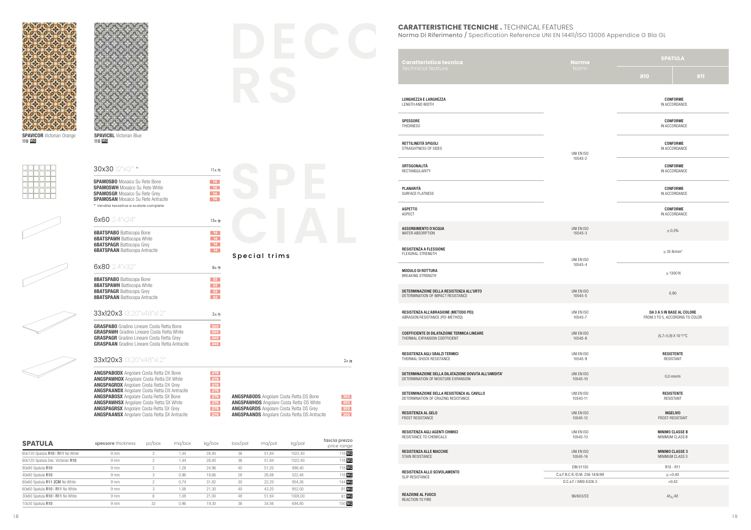



118 MQ

**SPAVICBL** Victorian Blue

SPAMOSWH Mosaico Su Rete White **SPAMOSGR** Mosaico Su Rete Grey

SPAMOSBO Mosaico Su Rete Bone<br>
SPAMOSWH Mosaico Su Rete White<br>
SPAMOSGR Mosaico Su Rete Grey

 $30x30$   $|2''x|2''$  \* 11x a

118 MQ



|   |  | Þ |
|---|--|---|
| ∼ |  |   |



| <b>SPAMOSAN</b> Mosaico Su Rete Antracite<br>* Vendita tassativa a scatole complete                   | $-14$           |                                                 |          |
|-------------------------------------------------------------------------------------------------------|-----------------|-------------------------------------------------|----------|
| 6x60 $2.4^{\circ}$ $\times$ 24"                                                                       | 15x 包           |                                                 |          |
| <b>6BATSPABO</b> Battiscopa Bone                                                                      | $-14$           |                                                 |          |
| <b>6BATSPAWH</b> Battiscopa White<br><b>6BATSPAGR</b> Battiscopa Grey                                 | 14<br>14        |                                                 |          |
| <b>6BATSPAAN</b> Battiscopa Antracite                                                                 | 14              | Special trims                                   |          |
| 6x80 2.4"x32"                                                                                         | $8x - 7$        |                                                 |          |
| <b>8BATSPABO</b> Battiscopa Bone                                                                      | 22              |                                                 |          |
| <b>8BATSPAWH</b> Battiscopa White<br><b>8BATSPAGR</b> Battiscopa Grey                                 | 22<br>22        |                                                 |          |
| <b>8BATSPAAN</b> Battiscopa Antracite                                                                 | 22 <sup>2</sup> |                                                 |          |
| 33x120x3 13.20"x48"x1.2"                                                                              | $2x -$          |                                                 |          |
| <b>GRASPABO</b> Gradino Lineare Costa Retta Bone                                                      | 265             |                                                 |          |
| <b>GRASPAWH</b> Gradino Lineare Costa Retta White<br><b>GRASPAGR</b> Gradino Lineare Costa Retta Grey | 265<br>265      |                                                 |          |
| <b>GRASPAAN</b> Gradino Lineare Costa Retta Antracite                                                 | 265             |                                                 |          |
| 33x120x3 13.20"x48"x1.2"                                                                              |                 |                                                 | $2x - 7$ |
| <b>ANGSPABODX</b> Angolare Costa Retta DX Bone<br><b>ANGSPAWHDX</b> Angolare Costa Retta DX White     | 278<br>278      |                                                 |          |
| <b>ANGSPAGRDX</b> Angolare Costa Retta DX Grey                                                        | 278             |                                                 |          |
| <b>ANGSPAANDX</b> Angolare Costa Retta DX Antracite<br><b>ANGSPABOSX</b> Angolare Costa Retta SX Bone | 278<br>278      | <b>ANGSPABODS</b> Angolare Costa Retta DS Bone  | 303      |
| <b>ANGSPAWHSX</b> Angolare Costa Retta SX White                                                       | 278             | <b>ANGSPAWHDS</b> Angolare Costa Retta DS White | 303      |

ANGSPAGRDS Angolare Costa Retta DS Grey 303 ANGSPAANDS Angolare Costa Retta DS Antracite 303

| <b>SPATULA</b>                    | spessore thickness | pz/box | ma/box | kq/box | box/pal | mg/pal | kg/pal  | fascia prezzo<br>price range |
|-----------------------------------|--------------------|--------|--------|--------|---------|--------|---------|------------------------------|
| 60x120 Spatula R10   R11 No White | 9 <sub>mm</sub>    |        | .44    | 28.40  | 36      | 51.84  | 1022.40 | 118 MQ                       |
| 60x120 Spatula Dec. Victorian R10 | 9 <sub>mm</sub>    |        | i 44   | 28,40  | 36      | 51,84  | 1022.40 | 118 MO                       |
| 80x80 Spatula R10                 | 9 <sub>mm</sub>    |        | 1,28   | 24.96  | 40      | 51,20  | 998.40  | 118 MO                       |
| 40x80 Spatula R10                 | 9 <sub>mm</sub>    |        | 0.96   | 18.66  | 28      | 26.88  | 522.48  | 118 MO                       |
| 60x60 Spatula R11 2CM No White    | 9 <sub>mm</sub>    |        | 0.74   | 31.82  | 30      | 22,20  | 954.26  | 144 MQ                       |
| 60x60 Spatula R10   R11 No White  | 9 <sub>mm</sub>    | 3      | 1.08   | 21,30  | 40      | 43,20  | 852.00  | 91 MQ                        |
| 30x60 Spatula R10   R11 No White  | 9 <sub>mm</sub>    |        | 1.08   | 21.00  | 48      | 51,84  | 1008.00 | 91 MO                        |
| 10x30 Spatula R10                 | 9 <sub>mm</sub>    | 32     | 0.96   | 19.30  | 36      | 34.56  | 694.80  | 150 MQ                       |

ANGSPAGRSX Angolare Costa Retta SX Grey 278 **ANGSPAANSX** Angolare Costa Retta SX Antracite **278** 

#### **CARATTERISTICHE TECNICHE .** TECHNICAL FEATURES

Norma Di Riferimento / Specification Reference UNI EN 14411/ISO 13006 Appendice G Bla GL **DECO**

| Caratteristica tecnica                                                                      | <b>Norma</b>                                                        | <b>SPATULA</b>                                                     |                           |  |  |  |
|---------------------------------------------------------------------------------------------|---------------------------------------------------------------------|--------------------------------------------------------------------|---------------------------|--|--|--|
| Technical feature                                                                           | Norm                                                                | <b>R10</b>                                                         | <b>R11</b>                |  |  |  |
| LUNGHEZZA E LARGHEZZA<br>LENGTH AND WIDTH                                                   |                                                                     |                                                                    | CONFORME<br>IN ACCORDANCE |  |  |  |
| <b>SPESSORE</b><br>THICKNESS                                                                |                                                                     | CONFORME<br>IN ACCORDANCE                                          |                           |  |  |  |
| RETTILINEITÀ SPIGOLI<br>STRAIGHTNESS OF SIDES                                               | UNI EN ISO                                                          | CONFORME<br>IN ACCORDANCE                                          |                           |  |  |  |
| ORTOGONALITÀ<br>RECTANGULARITY                                                              | 10545-2                                                             | CONFORME<br>IN ACCORDANCE                                          |                           |  |  |  |
| PLANARITÀ<br>SURFACE FLATNESS                                                               |                                                                     | CONFORME<br>IN ACCORDANCE                                          |                           |  |  |  |
| <b>ASPETTO</b><br>ASPECT                                                                    |                                                                     | CONFORME<br>IN ACCORDANCE                                          |                           |  |  |  |
| ASSORBIMENTO D'ACQUA<br>WATER ABSORPTION                                                    | UNI EN ISO<br>10545-3                                               | $\leq 0.5\%$                                                       |                           |  |  |  |
| RESISTENZA A FLESSIONE<br>FLEXURAL STRENGTH                                                 | UNI EN ISO                                                          | $\geq$ 35 N/mm <sup>2</sup>                                        |                           |  |  |  |
| MODULO DI ROTTURA<br>BREAKING STRENGTH                                                      | 10545-4                                                             | $\geq 1300$ N                                                      |                           |  |  |  |
| DETERMINAZIONE DELLA RESISTENZA ALL'URTO<br>DETERMINATION OF IMPACT RESISTANCE              | UNI EN ISO<br>10545-5                                               | 0,90                                                               |                           |  |  |  |
| RESISTENZA ALL'ABRASIONE (METODO PEI)<br>ABRASION RESISTANCE (PEI-METHOD)                   | UNI EN ISO<br>10545-7                                               | DA 3 A 5 IN BASE AL COLORE<br>FROM 3 TO 5, ACCORDING TO COLOR      |                           |  |  |  |
| COEFFICIENTE DI DILATAZIONE TERMICA LINEARE<br>THERMAL EXPANSION COEFFICIENT                | UNI EN ISO<br>10545-8                                               | $(5,7\div 5,9)$ X 10 $\cdot$ <sup>6</sup> / $\cdot$ <sup>o</sup> C |                           |  |  |  |
| RESISTENZA AGLI SBALZI TERMICI<br>THERMAL SHOCK RESISTANCE                                  | UNI EN ISO<br>10545-9                                               | <b>RESISTENTE</b><br>RESISTANT                                     |                           |  |  |  |
| DETERMINAZIONE DELLA DILATAZIONE DOVUTA ALL'UMIDITA'<br>DETERMINATION OF MOISTURE EXPANSION | UNI EN ISO<br>10545-10                                              | $0,0$ mm/m                                                         |                           |  |  |  |
| DETERMINAZIONE DELLA RESISTENZA AL CAVILLO<br>DETERMINATION OF CRAZING RESISTANCE           | UNI EN ISO<br>10545-11                                              | <b>RESISTENTE</b><br>RESISTANT                                     |                           |  |  |  |
| RESISTENZA AL GELO<br>FROST RESISTANCE                                                      | UNI EN ISO<br>10545-12                                              | <b>INGELIVO</b><br>FROST-RESISTANT                                 |                           |  |  |  |
| RESISTENZA AGLI AGENTI CHIMICI<br>RESISTANCE TO CHEMICALS                                   | UNI EN ISO<br>10545-13                                              | <b>MINIMO CLASSE B</b><br>MINIMUM CLASS B                          |                           |  |  |  |
| RESISTENZA ALLE MACCHIE<br>STAIN RESISTANCE                                                 | UNI EN ISO<br>10545-14                                              | <b>MINIMO CLASSE 3</b><br>MINIMUM CLASS 3                          |                           |  |  |  |
| RESISTENZA ALLO SCIVOLAMENTO<br>SLIP RESISTANCE                                             | DIN 51130<br>C.o.F B.C.R./D.M. 236 14/6/89<br>D.C.o.F / ANSI A326.3 | R10 - R11<br>$\mu > 0,40$<br>>0,42                                 |                           |  |  |  |
| REAZIONE AL FUOCO<br>REACTION TO FIRE                                                       | 96/603/CE                                                           | $A1_{FL}$ /A1                                                      |                           |  |  |  |